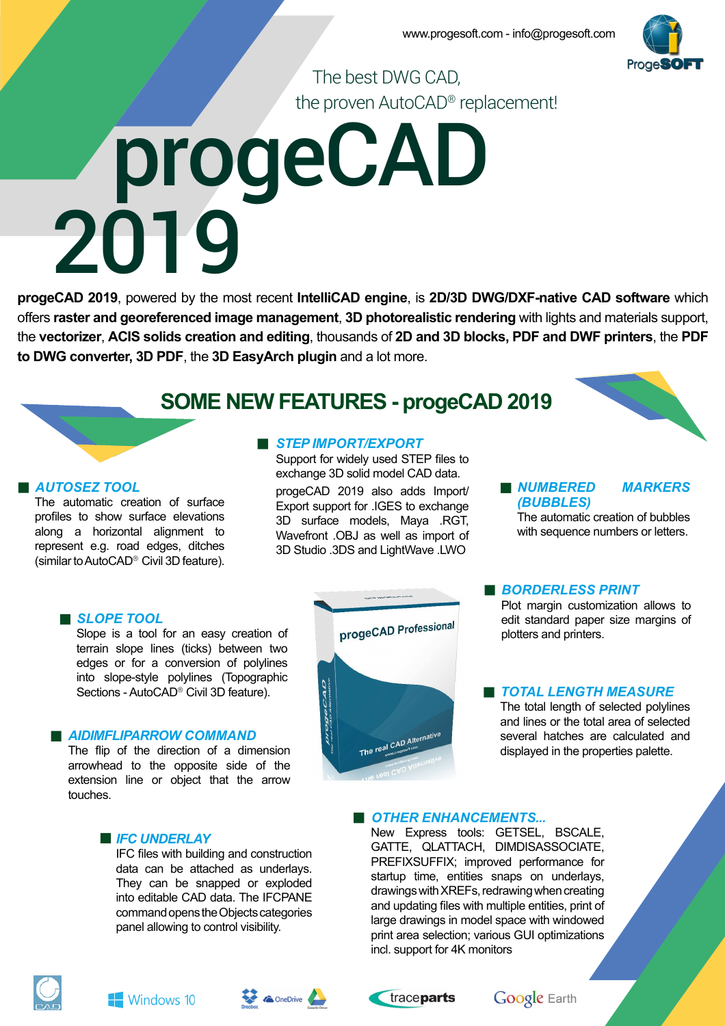

The best DWG CAD, the proven AutoCAD® replacement!

# progeCAD 2019

**progeCAD 2019**, powered by the most recent **IntelliCAD engine**, is **2D/3D DWG/DXF-native CAD software** which offers raster and georeferenced image management, 3D photorealistic rendering with lights and materials support, the **vectorizer**, **ACIS solids creation and editing**, thousands of **2D and 3D blocks, PDF and DWF printers**, the **PDF to DWG converter, 3D PDF**, the **3D EasyArch plugin** and a lot more.

## **SOME NEW FEATURES - progeCAD 2019**

#### *AUTOSEZ TOOL*

The automatic creation of surface profiles to show surface elevations along a horizontal alignment to represent e.g. road edges, ditches (similar to AutoCAD® Civil 3D feature).

### **B** STEP IMPORT/EXPORT

Support for widely used STEP files to exchange 3D solid model CAD data.

progeCAD 2019 also adds Import/ Export support for .IGES to exchange 3D surface models, Maya .RGT, Wavefront .OBJ as well as import of 3D Studio .3DS and LightWave .LWO

#### *NUMBERED MARKERS (BUBBLES)*

The automatic creation of bubbles with sequence numbers or letters.

#### **B** SLOPE TOOL

Slope is a tool for an easy creation of terrain slope lines (ticks) between two edges or for a conversion of polylines into slope-style polylines (Topographic Sections - AutoCAD® Civil 3D feature).

#### *AIDIMFLIPARROW COMMAND*

The flip of the direction of a dimension arrowhead to the opposite side of the extension line or object that the arrow touches.

#### *IFC UNDERLAY*

IFC files with building and construction data can be attached as underlays. They can be snapped or exploded into editable CAD data. The IFCPANE command opens the Objects categories panel allowing to control visibility.



#### *BORDERLESS PRINT*

Plot margin customization allows to edit standard paper size margins of plotters and printers.

#### *TOTAL LENGTH MEASURE*

The total length of selected polylines and lines or the total area of selected several hatches are calculated and displayed in the properties palette.

#### *OTHER ENHANCEMENTS...*

New Express tools: GETSEL, BSCALE, GATTE, QLATTACH, DIMDISASSOCIATE, PREFIXSUFFIX; improved performance for startup time, entities snaps on underlays, drawings with XREFs, redrawing when creating and updating files with multiple entities, print of large drawings in model space with windowed print area selection; various GUI optimizations incl. support for 4K monitors